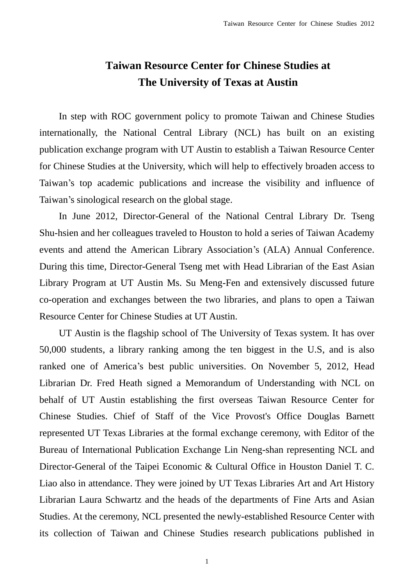## **Taiwan Resource Center for Chinese Studies at The University of Texas at Austin**

In step with ROC government policy to promote Taiwan and Chinese Studies internationally, the National Central Library (NCL) has built on an existing publication exchange program with UT Austin to establish a Taiwan Resource Center for Chinese Studies at the University, which will help to effectively broaden access to Taiwan's top academic publications and increase the visibility and influence of Taiwan's sinological research on the global stage.

In June 2012, Director-General of the National Central Library Dr. Tseng Shu-hsien and her colleagues traveled to Houston to hold a series of Taiwan Academy events and attend the American Library Association's (ALA) Annual Conference. During this time, Director-General Tseng met with Head Librarian of the East Asian Library Program at UT Austin Ms. Su Meng-Fen and extensively discussed future co-operation and exchanges between the two libraries, and plans to open a Taiwan Resource Center for Chinese Studies at UT Austin.

UT Austin is the flagship school of The University of Texas system. It has over 50,000 students, a library ranking among the ten biggest in the U.S, and is also ranked one of America's best public universities. On November 5, 2012, Head Librarian Dr. Fred Heath signed a Memorandum of Understanding with NCL on behalf of UT Austin establishing the first overseas Taiwan Resource Center for Chinese Studies. Chief of Staff of the Vice Provost's Office Douglas Barnett represented UT Texas Libraries at the formal exchange ceremony, with Editor of the Bureau of International Publication Exchange Lin Neng-shan representing NCL and Director-General of the Taipei Economic & Cultural Office in Houston Daniel T. C. Liao also in attendance. They were joined by UT Texas Libraries Art and Art History Librarian Laura Schwartz and the heads of the departments of Fine Arts and Asian Studies. At the ceremony, NCL presented the newly-established Resource Center with its collection of Taiwan and Chinese Studies research publications published in